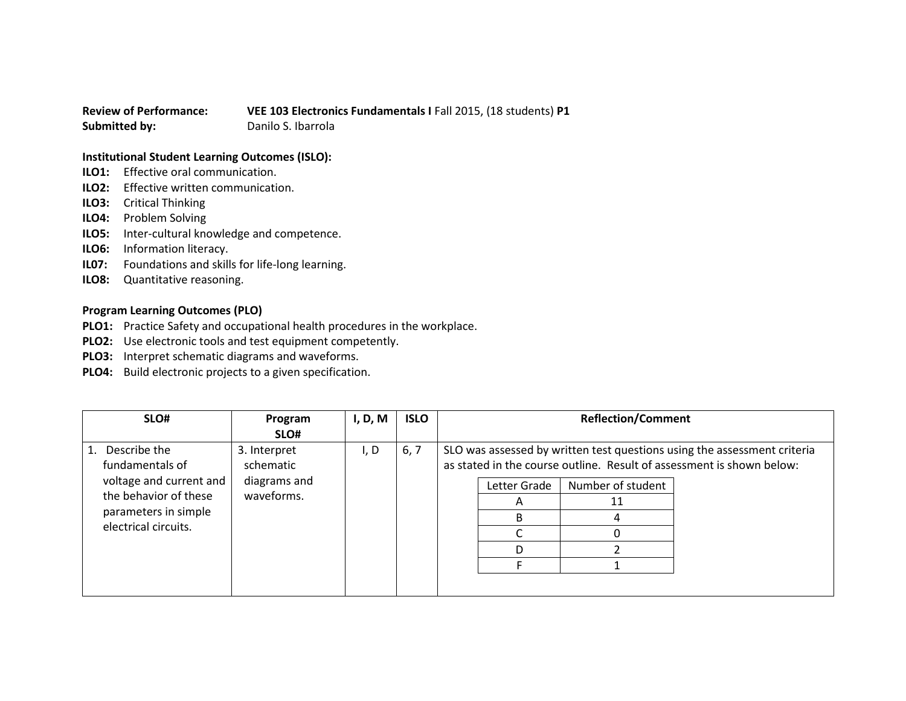## **Review of Performance: VEE 103 Electronics Fundamentals I** Fall 2015, (18 students) **P1 Submitted by:** Danilo S. Ibarrola

## **Institutional Student Learning Outcomes (ISLO):**

- **ILO1:** Effective oral communication.
- **ILO2:** Effective written communication.
- **ILO3:** Critical Thinking
- **ILO4:** Problem Solving
- **ILO5:** Inter-cultural knowledge and competence.
- **ILO6:** Information literacy.
- **IL07:** Foundations and skills for life-long learning.
- **ILO8:** Quantitative reasoning.

## **Program Learning Outcomes (PLO)**

- **PLO1:** Practice Safety and occupational health procedures in the workplace.
- **PLO2:** Use electronic tools and test equipment competently.
- **PLO3:** Interpret schematic diagrams and waveforms.
- **PLO4:** Build electronic projects to a given specification.

| SLO#                                                                                                                                      | Program                                                 | I, D, M | <b>ISLO</b> | <b>Reflection/Comment</b> |                        |                   |                                                                                                                                                   |
|-------------------------------------------------------------------------------------------------------------------------------------------|---------------------------------------------------------|---------|-------------|---------------------------|------------------------|-------------------|---------------------------------------------------------------------------------------------------------------------------------------------------|
|                                                                                                                                           | SLO#                                                    |         |             |                           |                        |                   |                                                                                                                                                   |
| Describe the<br>1.<br>fundamentals of<br>voltage and current and<br>the behavior of these<br>parameters in simple<br>electrical circuits. | 3. Interpret<br>schematic<br>diagrams and<br>waveforms. | I, D    | 6, 7        |                           | Letter Grade<br>A<br>в | Number of student | SLO was assessed by written test questions using the assessment criteria<br>as stated in the course outline. Result of assessment is shown below: |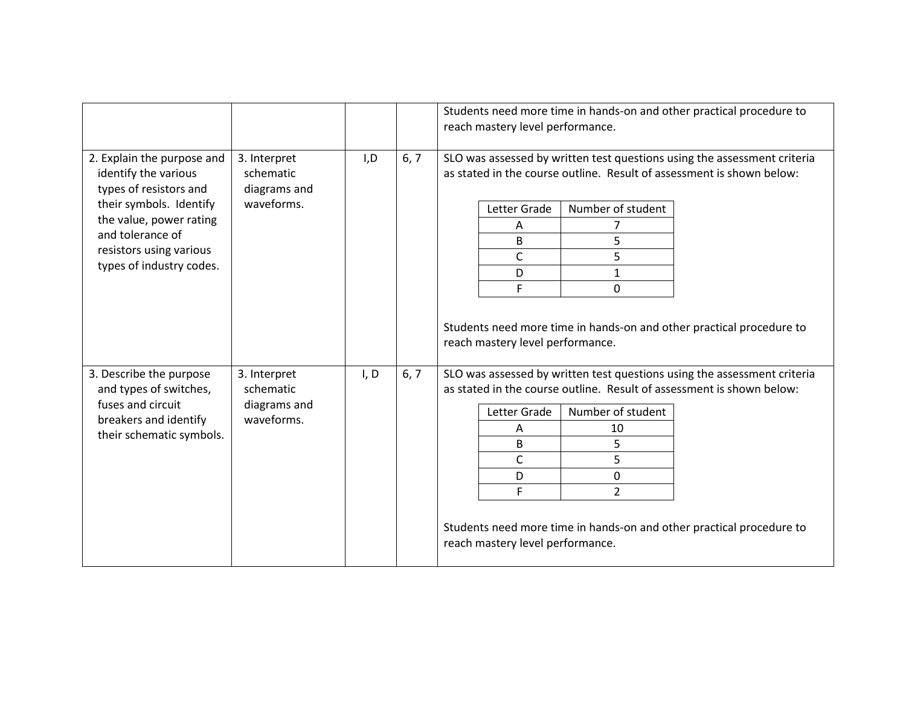|                                                                                                                                                                                                               |                                                         |      |      | Students need more time in hands-on and other practical procedure to<br>reach mastery level performance.                                                                                                                                                                                                                                                                      |  |  |  |  |
|---------------------------------------------------------------------------------------------------------------------------------------------------------------------------------------------------------------|---------------------------------------------------------|------|------|-------------------------------------------------------------------------------------------------------------------------------------------------------------------------------------------------------------------------------------------------------------------------------------------------------------------------------------------------------------------------------|--|--|--|--|
| 2. Explain the purpose and<br>identify the various<br>types of resistors and<br>their symbols. Identify<br>the value, power rating<br>and tolerance of<br>resistors using various<br>types of industry codes. | 3. Interpret<br>schematic<br>diagrams and<br>waveforms. | I, D | 6, 7 | SLO was assessed by written test questions using the assessment criteria<br>as stated in the course outline. Result of assessment is shown below:<br>Letter Grade<br>Number of student<br>Α<br>5<br>B<br>5<br>C<br>D<br>$\mathbf{1}$<br>F<br>$\mathbf 0$                                                                                                                      |  |  |  |  |
|                                                                                                                                                                                                               |                                                         |      |      | Students need more time in hands-on and other practical procedure to<br>reach mastery level performance.                                                                                                                                                                                                                                                                      |  |  |  |  |
| 3. Describe the purpose<br>and types of switches,<br>fuses and circuit<br>breakers and identify<br>their schematic symbols.                                                                                   | 3. Interpret<br>schematic<br>diagrams and<br>waveforms. | I, D | 6, 7 | SLO was assessed by written test questions using the assessment criteria<br>as stated in the course outline. Result of assessment is shown below:<br>Number of student<br>Letter Grade<br>10<br>A<br>5<br>B<br>$\mathsf{C}$<br>5<br>0<br>D<br>F<br>$\overline{2}$<br>Students need more time in hands-on and other practical procedure to<br>reach mastery level performance. |  |  |  |  |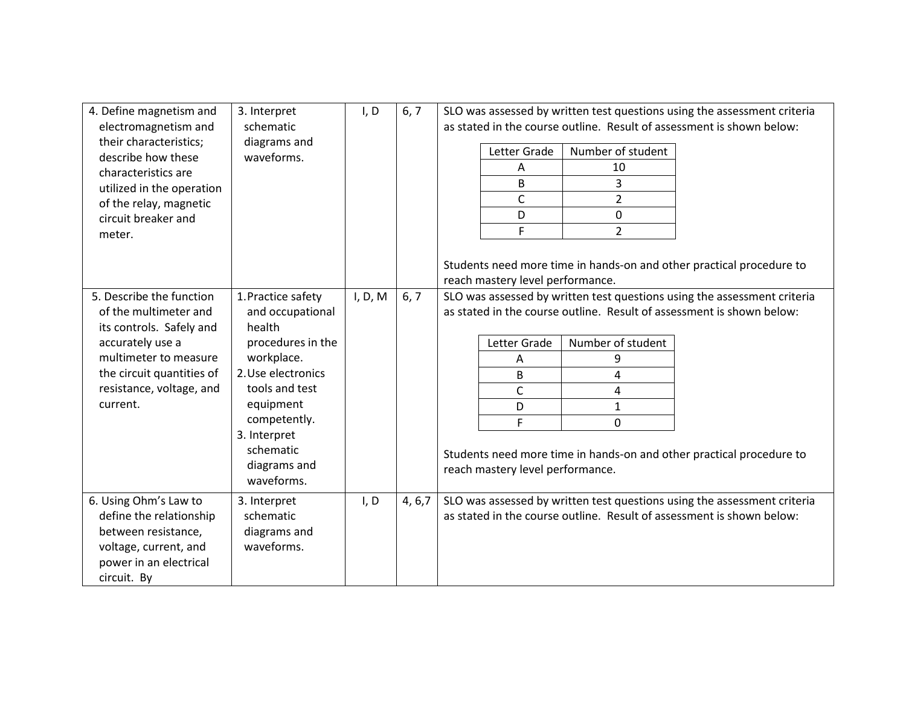| 4. Define magnetism and                      | 3. Interpret               | I, D    | 6, 7    | SLO was assessed by written test questions using the assessment criteria                                                                          |  |  |  |  |
|----------------------------------------------|----------------------------|---------|---------|---------------------------------------------------------------------------------------------------------------------------------------------------|--|--|--|--|
| electromagnetism and                         | schematic                  |         |         | as stated in the course outline. Result of assessment is shown below:                                                                             |  |  |  |  |
| their characteristics;<br>describe how these | diagrams and<br>waveforms. |         |         | Number of student<br>Letter Grade                                                                                                                 |  |  |  |  |
| characteristics are                          |                            |         |         | 10<br>Α                                                                                                                                           |  |  |  |  |
| utilized in the operation                    |                            |         |         | 3<br>B                                                                                                                                            |  |  |  |  |
| of the relay, magnetic                       |                            |         |         | $\mathsf{C}$<br>$\overline{2}$                                                                                                                    |  |  |  |  |
| circuit breaker and                          |                            |         |         | D<br>0                                                                                                                                            |  |  |  |  |
| meter.                                       |                            |         |         | F<br>$\overline{2}$                                                                                                                               |  |  |  |  |
|                                              |                            |         |         |                                                                                                                                                   |  |  |  |  |
|                                              |                            |         |         | Students need more time in hands-on and other practical procedure to                                                                              |  |  |  |  |
|                                              |                            |         |         | reach mastery level performance.                                                                                                                  |  |  |  |  |
| 5. Describe the function                     | 1. Practice safety         |         | 6, 7    |                                                                                                                                                   |  |  |  |  |
| of the multimeter and                        |                            | I, D, M |         | SLO was assessed by written test questions using the assessment criteria<br>as stated in the course outline. Result of assessment is shown below: |  |  |  |  |
| its controls. Safely and                     | and occupational<br>health |         |         |                                                                                                                                                   |  |  |  |  |
| accurately use a                             | procedures in the          |         |         | Letter Grade<br>Number of student                                                                                                                 |  |  |  |  |
| multimeter to measure                        | workplace.                 |         |         |                                                                                                                                                   |  |  |  |  |
| the circuit quantities of                    | 2. Use electronics         |         |         | 9<br>Α                                                                                                                                            |  |  |  |  |
| resistance, voltage, and                     | tools and test             |         |         | B<br>4                                                                                                                                            |  |  |  |  |
| current.                                     | equipment                  |         |         | $\mathsf{C}$<br>4                                                                                                                                 |  |  |  |  |
|                                              | competently.               |         |         | D<br>$\mathbf{1}$                                                                                                                                 |  |  |  |  |
|                                              | 3. Interpret               |         |         | F<br>0                                                                                                                                            |  |  |  |  |
|                                              | schematic                  |         |         |                                                                                                                                                   |  |  |  |  |
|                                              | diagrams and               |         |         | Students need more time in hands-on and other practical procedure to                                                                              |  |  |  |  |
|                                              | waveforms.                 |         |         | reach mastery level performance.                                                                                                                  |  |  |  |  |
|                                              |                            |         |         |                                                                                                                                                   |  |  |  |  |
| 6. Using Ohm's Law to                        | 3. Interpret               | I, D    | 4, 6, 7 | SLO was assessed by written test questions using the assessment criteria                                                                          |  |  |  |  |
| define the relationship                      | schematic                  |         |         | as stated in the course outline. Result of assessment is shown below:                                                                             |  |  |  |  |
| between resistance,                          | diagrams and               |         |         |                                                                                                                                                   |  |  |  |  |
| voltage, current, and                        | waveforms.                 |         |         |                                                                                                                                                   |  |  |  |  |
| power in an electrical                       |                            |         |         |                                                                                                                                                   |  |  |  |  |
| circuit. By                                  |                            |         |         |                                                                                                                                                   |  |  |  |  |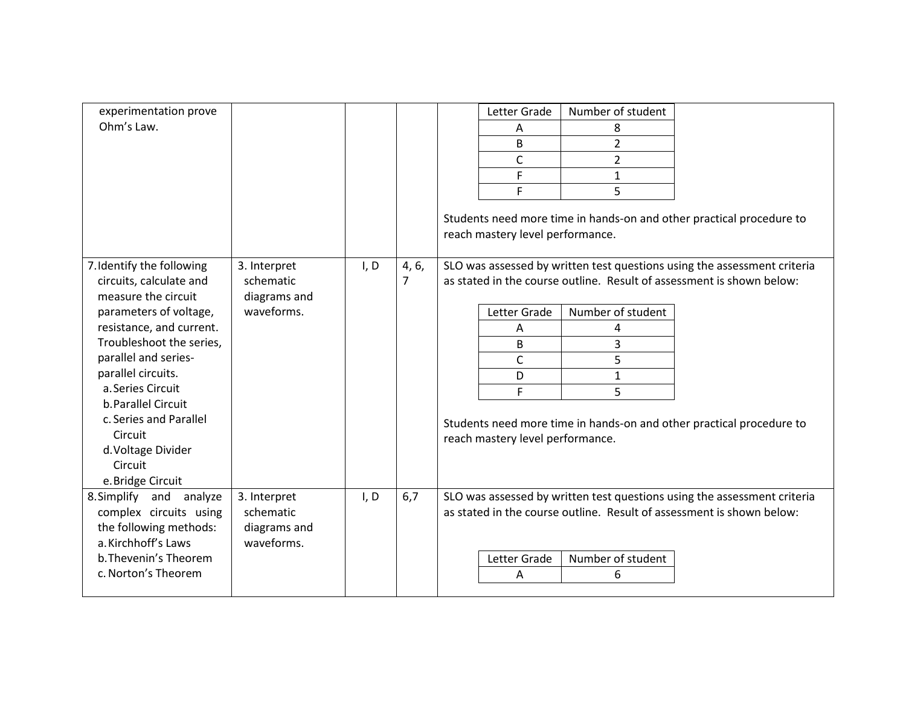| experimentation prove<br>Ohm's Law.                                                                                                                                                                                                                                                                                                                |                                                         |      |            | Letter Grade<br>Α<br>B<br>$\mathsf{C}$<br>F<br>F<br>reach mastery level performance. | Number of student<br>8<br>$\overline{2}$<br>$\overline{2}$<br>1<br>5 | Students need more time in hands-on and other practical procedure to                                                                                                                                                      |
|----------------------------------------------------------------------------------------------------------------------------------------------------------------------------------------------------------------------------------------------------------------------------------------------------------------------------------------------------|---------------------------------------------------------|------|------------|--------------------------------------------------------------------------------------|----------------------------------------------------------------------|---------------------------------------------------------------------------------------------------------------------------------------------------------------------------------------------------------------------------|
| 7. Identify the following<br>circuits, calculate and<br>measure the circuit<br>parameters of voltage,<br>resistance, and current.<br>Troubleshoot the series,<br>parallel and series-<br>parallel circuits.<br>a. Series Circuit<br>b. Parallel Circuit<br>c. Series and Parallel<br>Circuit<br>d. Voltage Divider<br>Circuit<br>e. Bridge Circuit | 3. Interpret<br>schematic<br>diagrams and<br>waveforms. | I, D | 4, 6,<br>7 | Letter Grade<br>A<br>B<br>$\mathsf{C}$<br>D<br>F<br>reach mastery level performance. | Number of student<br>4<br>3<br>5<br>$\mathbf{1}$<br>5                | SLO was assessed by written test questions using the assessment criteria<br>as stated in the course outline. Result of assessment is shown below:<br>Students need more time in hands-on and other practical procedure to |
| 8. Simplify and analyze<br>complex circuits using<br>the following methods:<br>a. Kirchhoff's Laws<br>b. Thevenin's Theorem<br>c. Norton's Theorem                                                                                                                                                                                                 | 3. Interpret<br>schematic<br>diagrams and<br>waveforms. | I, D | 6,7        | Letter Grade<br>A                                                                    | Number of student<br>6                                               | SLO was assessed by written test questions using the assessment criteria<br>as stated in the course outline. Result of assessment is shown below:                                                                         |